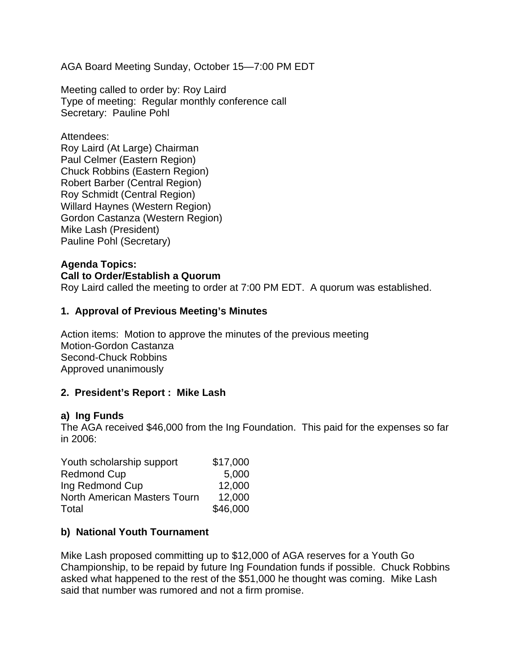AGA Board Meeting Sunday, October 15—7:00 PM EDT

Meeting called to order by: Roy Laird Type of meeting: Regular monthly conference call Secretary: Pauline Pohl

Attendees: Roy Laird (At Large) Chairman Paul Celmer (Eastern Region) Chuck Robbins (Eastern Region) Robert Barber (Central Region) Roy Schmidt (Central Region) Willard Haynes (Western Region) Gordon Castanza (Western Region) Mike Lash (President) Pauline Pohl (Secretary)

#### **Agenda Topics: Call to Order/Establish a Quorum**  Roy Laird called the meeting to order at 7:00 PM EDT. A quorum was established.

# **1. Approval of Previous Meeting's Minutes**

Action items: Motion to approve the minutes of the previous meeting Motion-Gordon Castanza Second-Chuck Robbins Approved unanimously

### **2. President's Report : Mike Lash**

#### **a) Ing Funds**

The AGA received \$46,000 from the Ing Foundation. This paid for the expenses so far in 2006:

| Youth scholarship support           | \$17,000 |
|-------------------------------------|----------|
| <b>Redmond Cup</b>                  | 5,000    |
| Ing Redmond Cup                     | 12,000   |
| <b>North American Masters Tourn</b> | 12,000   |
| Total                               | \$46,000 |

#### **b) National Youth Tournament**

Mike Lash proposed committing up to \$12,000 of AGA reserves for a Youth Go Championship, to be repaid by future Ing Foundation funds if possible. Chuck Robbins asked what happened to the rest of the \$51,000 he thought was coming. Mike Lash said that number was rumored and not a firm promise.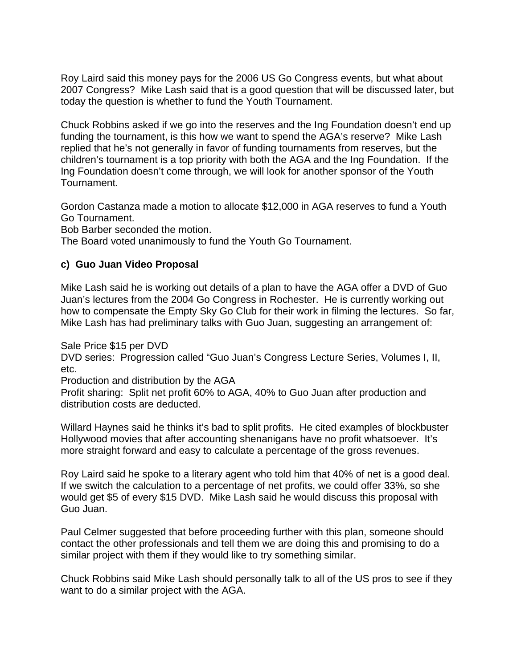Roy Laird said this money pays for the 2006 US Go Congress events, but what about 2007 Congress? Mike Lash said that is a good question that will be discussed later, but today the question is whether to fund the Youth Tournament.

Chuck Robbins asked if we go into the reserves and the Ing Foundation doesn't end up funding the tournament, is this how we want to spend the AGA's reserve? Mike Lash replied that he's not generally in favor of funding tournaments from reserves, but the children's tournament is a top priority with both the AGA and the Ing Foundation. If the Ing Foundation doesn't come through, we will look for another sponsor of the Youth Tournament.

Gordon Castanza made a motion to allocate \$12,000 in AGA reserves to fund a Youth Go Tournament.

Bob Barber seconded the motion.

The Board voted unanimously to fund the Youth Go Tournament.

# **c) Guo Juan Video Proposal**

Mike Lash said he is working out details of a plan to have the AGA offer a DVD of Guo Juan's lectures from the 2004 Go Congress in Rochester. He is currently working out how to compensate the Empty Sky Go Club for their work in filming the lectures. So far, Mike Lash has had preliminary talks with Guo Juan, suggesting an arrangement of:

Sale Price \$15 per DVD

DVD series: Progression called "Guo Juan's Congress Lecture Series, Volumes I, II, etc.

Production and distribution by the AGA

Profit sharing: Split net profit 60% to AGA, 40% to Guo Juan after production and distribution costs are deducted.

Willard Haynes said he thinks it's bad to split profits. He cited examples of blockbuster Hollywood movies that after accounting shenanigans have no profit whatsoever. It's more straight forward and easy to calculate a percentage of the gross revenues.

Roy Laird said he spoke to a literary agent who told him that 40% of net is a good deal. If we switch the calculation to a percentage of net profits, we could offer 33%, so she would get \$5 of every \$15 DVD. Mike Lash said he would discuss this proposal with Guo Juan.

Paul Celmer suggested that before proceeding further with this plan, someone should contact the other professionals and tell them we are doing this and promising to do a similar project with them if they would like to try something similar.

Chuck Robbins said Mike Lash should personally talk to all of the US pros to see if they want to do a similar project with the AGA.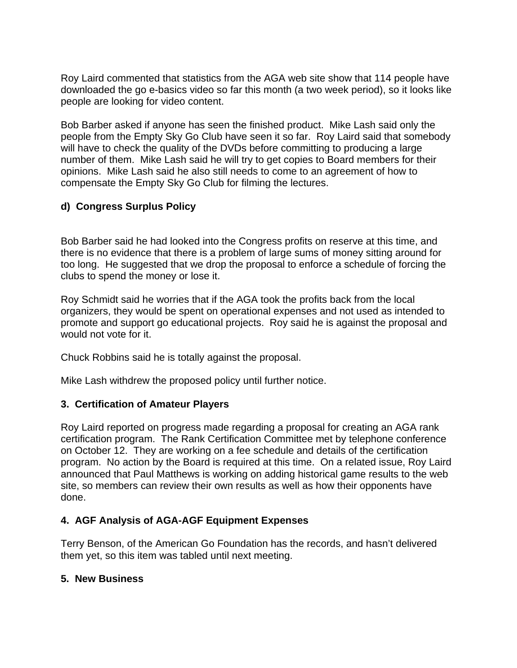Roy Laird commented that statistics from the AGA web site show that 114 people have downloaded the go e-basics video so far this month (a two week period), so it looks like people are looking for video content.

Bob Barber asked if anyone has seen the finished product. Mike Lash said only the people from the Empty Sky Go Club have seen it so far. Roy Laird said that somebody will have to check the quality of the DVDs before committing to producing a large number of them. Mike Lash said he will try to get copies to Board members for their opinions. Mike Lash said he also still needs to come to an agreement of how to compensate the Empty Sky Go Club for filming the lectures.

# **d) Congress Surplus Policy**

Bob Barber said he had looked into the Congress profits on reserve at this time, and there is no evidence that there is a problem of large sums of money sitting around for too long. He suggested that we drop the proposal to enforce a schedule of forcing the clubs to spend the money or lose it.

Roy Schmidt said he worries that if the AGA took the profits back from the local organizers, they would be spent on operational expenses and not used as intended to promote and support go educational projects. Roy said he is against the proposal and would not vote for it.

Chuck Robbins said he is totally against the proposal.

Mike Lash withdrew the proposed policy until further notice.

# **3. Certification of Amateur Players**

Roy Laird reported on progress made regarding a proposal for creating an AGA rank certification program. The Rank Certification Committee met by telephone conference on October 12. They are working on a fee schedule and details of the certification program. No action by the Board is required at this time. On a related issue, Roy Laird announced that Paul Matthews is working on adding historical game results to the web site, so members can review their own results as well as how their opponents have done.

# **4. AGF Analysis of AGA-AGF Equipment Expenses**

Terry Benson, of the American Go Foundation has the records, and hasn't delivered them yet, so this item was tabled until next meeting.

# **5. New Business**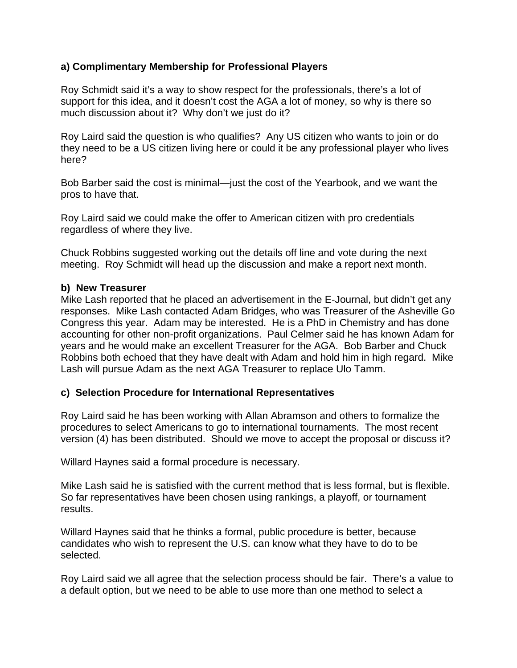## **a) Complimentary Membership for Professional Players**

Roy Schmidt said it's a way to show respect for the professionals, there's a lot of support for this idea, and it doesn't cost the AGA a lot of money, so why is there so much discussion about it? Why don't we just do it?

Roy Laird said the question is who qualifies? Any US citizen who wants to join or do they need to be a US citizen living here or could it be any professional player who lives here?

Bob Barber said the cost is minimal—just the cost of the Yearbook, and we want the pros to have that.

Roy Laird said we could make the offer to American citizen with pro credentials regardless of where they live.

Chuck Robbins suggested working out the details off line and vote during the next meeting. Roy Schmidt will head up the discussion and make a report next month.

#### **b) New Treasurer**

Mike Lash reported that he placed an advertisement in the E-Journal, but didn't get any responses. Mike Lash contacted Adam Bridges, who was Treasurer of the Asheville Go Congress this year. Adam may be interested. He is a PhD in Chemistry and has done accounting for other non-profit organizations. Paul Celmer said he has known Adam for years and he would make an excellent Treasurer for the AGA. Bob Barber and Chuck Robbins both echoed that they have dealt with Adam and hold him in high regard. Mike Lash will pursue Adam as the next AGA Treasurer to replace Ulo Tamm.

### **c) Selection Procedure for International Representatives**

Roy Laird said he has been working with Allan Abramson and others to formalize the procedures to select Americans to go to international tournaments. The most recent version (4) has been distributed. Should we move to accept the proposal or discuss it?

Willard Haynes said a formal procedure is necessary.

Mike Lash said he is satisfied with the current method that is less formal, but is flexible. So far representatives have been chosen using rankings, a playoff, or tournament results.

Willard Haynes said that he thinks a formal, public procedure is better, because candidates who wish to represent the U.S. can know what they have to do to be selected.

Roy Laird said we all agree that the selection process should be fair. There's a value to a default option, but we need to be able to use more than one method to select a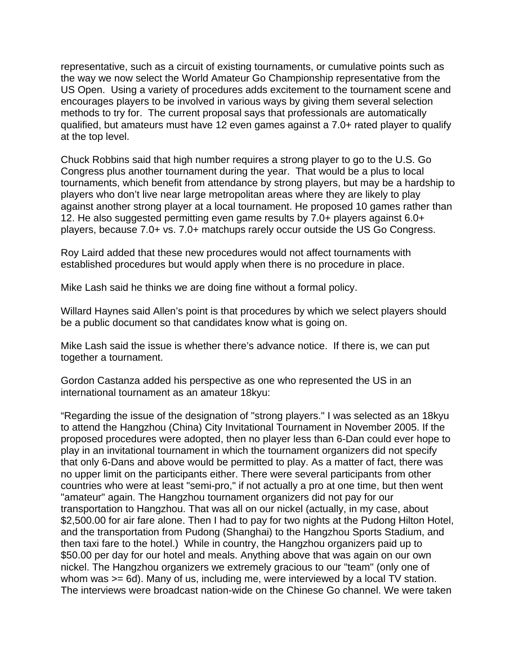representative, such as a circuit of existing tournaments, or cumulative points such as the way we now select the World Amateur Go Championship representative from the US Open. Using a variety of procedures adds excitement to the tournament scene and encourages players to be involved in various ways by giving them several selection methods to try for. The current proposal says that professionals are automatically qualified, but amateurs must have 12 even games against a 7.0+ rated player to qualify at the top level.

Chuck Robbins said that high number requires a strong player to go to the U.S. Go Congress plus another tournament during the year. That would be a plus to local tournaments, which benefit from attendance by strong players, but may be a hardship to players who don't live near large metropolitan areas where they are likely to play against another strong player at a local tournament. He proposed 10 games rather than 12. He also suggested permitting even game results by 7.0+ players against 6.0+ players, because 7.0+ vs. 7.0+ matchups rarely occur outside the US Go Congress.

Roy Laird added that these new procedures would not affect tournaments with established procedures but would apply when there is no procedure in place.

Mike Lash said he thinks we are doing fine without a formal policy.

Willard Haynes said Allen's point is that procedures by which we select players should be a public document so that candidates know what is going on.

Mike Lash said the issue is whether there's advance notice. If there is, we can put together a tournament.

Gordon Castanza added his perspective as one who represented the US in an international tournament as an amateur 18kyu:

"Regarding the issue of the designation of "strong players." I was selected as an 18kyu to attend the Hangzhou (China) City Invitational Tournament in November 2005. If the proposed procedures were adopted, then no player less than 6-Dan could ever hope to play in an invitational tournament in which the tournament organizers did not specify that only 6-Dans and above would be permitted to play. As a matter of fact, there was no upper limit on the participants either. There were several participants from other countries who were at least "semi-pro," if not actually a pro at one time, but then went "amateur" again. The Hangzhou tournament organizers did not pay for our transportation to Hangzhou. That was all on our nickel (actually, in my case, about \$2,500.00 for air fare alone. Then I had to pay for two nights at the Pudong Hilton Hotel, and the transportation from Pudong (Shanghai) to the Hangzhou Sports Stadium, and then taxi fare to the hotel.) While in country, the Hangzhou organizers paid up to \$50.00 per day for our hotel and meals. Anything above that was again on our own nickel. The Hangzhou organizers we extremely gracious to our "team" (only one of whom was  $>= 6d$ ). Many of us, including me, were interviewed by a local TV station. The interviews were broadcast nation-wide on the Chinese Go channel. We were taken